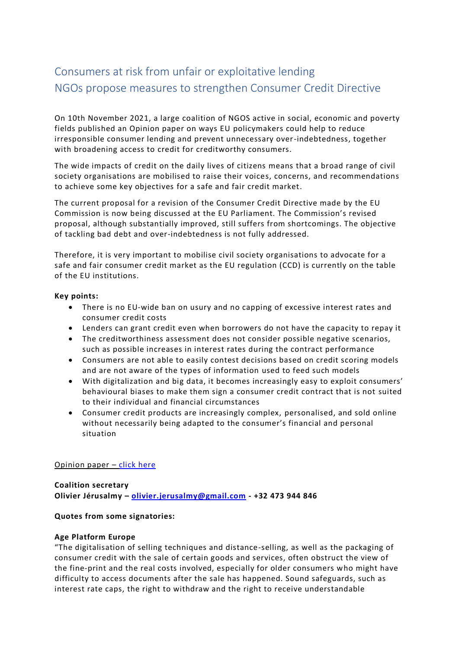# Consumers at risk from unfair or exploitative lending NGOs propose measures to strengthen Consumer Credit Directive

On 10th November 2021, a large coalition of NGOS active in social, economic and poverty fields published an Opinion paper on ways EU policymakers could help to reduce irresponsible consumer lending and prevent unnecessary over-indebtedness, together with broadening access to credit for creditworthy consumers.

The wide impacts of credit on the daily lives of citizens means that a broad range of civil society organisations are mobilised to raise their voices, concerns, and recommendations to achieve some key objectives for a safe and fair credit market.

The current proposal for a revision of the Consumer Credit Directive made by the EU Commission is now being discussed at the EU Parliament. The Commission's revised proposal, although substantially improved, still suffers from shortcomings. The objective of tackling bad debt and over-indebtedness is not fully addressed.

Therefore, it is very important to mobilise civil society organisations to advocate for a safe and fair consumer credit market as the EU regulation (CCD) is currently on the table of the EU institutions.

## **Key points:**

- There is no EU-wide ban on usury and no capping of excessive interest rates and consumer credit costs
- Lenders can grant credit even when borrowers do not have the capacity to repay it
- The creditworthiness assessment does not consider possible negative scenarios, such as possible increases in interest rates during the contract performance
- Consumers are not able to easily contest decisions based on credit scoring models and are not aware of the types of information used to feed such models
- With digitalization and big data, it becomes increasingly easy to exploit consumers' behavioural biases to make them sign a consumer credit contract that is not suited to their individual and financial circumstances
- Consumer credit products are increasingly complex, personalised, and sold online without necessarily being adapted to the consumer's financial and personal situation

#### [Opinion paper](https://financialinclusioneurope.eu/wp-content/uploads/2021/10/Opinion-paper-final-no-logos.pdf) – [click here](https://financialinclusioneurope.eu/wp-content/uploads/2021/11/CCD-COALITION-OPINION-PAPER-FV-Nov.pdf)

# **Coalition secretary**

**Olivier Jérusalmy – [olivier.jerusalmy@gmail.com](mailto:olivier.jerusalmy@gmail.com) - +32 473 944 846**

#### **Quotes from some signatories:**

#### **Age Platform Europe**

"The digitalisation of selling techniques and distance-selling, as well as the packaging of consumer credit with the sale of certain goods and services, often obstruct the view of the fine-print and the real costs involved, especially for older consumers who might have difficulty to access documents after the sale has happened. Sound safeguards, such as interest rate caps, the right to withdraw and the right to receive understandable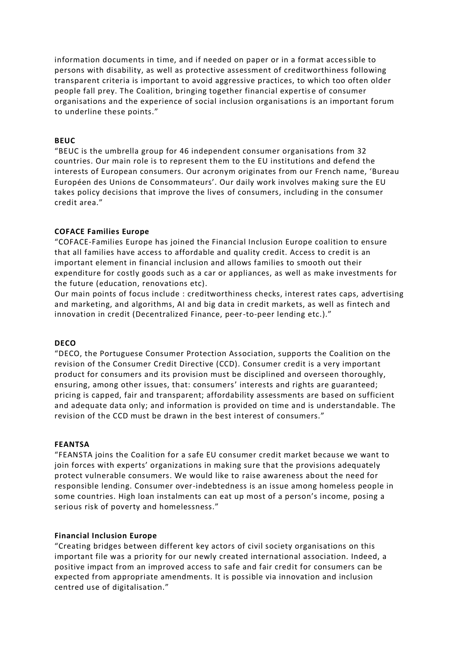information documents in time, and if needed on paper or in a format accessible to persons with disability, as well as protective assessment of creditworthiness following transparent criteria is important to avoid aggressive practices, to which too often older people fall prey. The Coalition, bringing together financial expertis e of consumer organisations and the experience of social inclusion organisations is an important forum to underline these points."

## **BEUC**

"BEUC is the umbrella group for 46 independent consumer organisations from 32 countries. Our main role is to represent them to the EU institutions and defend the interests of European consumers. Our acronym originates from our French name, 'Bureau Européen des Unions de Consommateurs'. Our daily work involves making sure the EU takes policy decisions that improve the lives of consumers, including in the consumer credit area."

#### **COFACE Families Europe**

"COFACE-Families Europe has joined the Financial Inclusion Europe coalition to ensure that all families have access to affordable and quality credit. Access to credit is an important element in financial inclusion and allows families to smooth out their expenditure for costly goods such as a car or appliances, as well as make investments for the future (education, renovations etc).

Our main points of focus include : creditworthiness checks, interest rates caps, advertising and marketing, and algorithms, AI and big data in credit markets, as well as fintech and innovation in credit (Decentralized Finance, peer-to-peer lending etc.)."

#### **DECO**

"DECO, the Portuguese Consumer Protection Association, supports the Coalition on the revision of the Consumer Credit Directive (CCD). Consumer credit is a very important product for consumers and its provision must be disciplined and overseen thoroughly, ensuring, among other issues, that: consumers' interests and rights are guaranteed; pricing is capped, fair and transparent; affordability assessments are based on sufficient and adequate data only; and information is provided on time and is understandable. The revision of the CCD must be drawn in the best interest of consumers."

#### **FEANTSA**

"FEANSTA joins the Coalition for a safe EU consumer credit market because we want to join forces with experts' organizations in making sure that the provisions adequately protect vulnerable consumers. We would like to raise awareness about the need for responsible lending. Consumer over-indebtedness is an issue among homeless people in some countries. High loan instalments can eat up most of a person's income, posing a serious risk of poverty and homelessness."

# **Financial Inclusion Europe**

"Creating bridges between different key actors of civil society organisations on this important file was a priority for our newly created international association. Indeed, a positive impact from an improved access to safe and fair credit for consumers can be expected from appropriate amendments. It is possible via innovation and inclusion centred use of digitalisation."